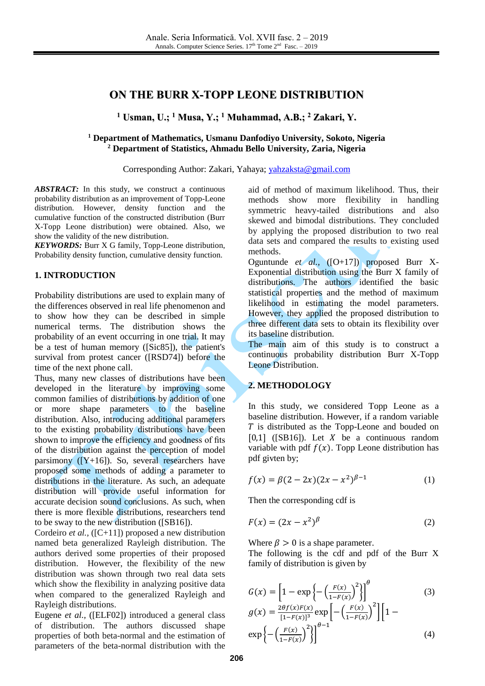# **ON THE BURR X-TOPP LEONE DISTRIBUTION**

**<sup>1</sup> Usman, U.; <sup>1</sup> Musa, Y.; <sup>1</sup> Muhammad, A.B.; <sup>2</sup> Zakari, Y.**

### **<sup>1</sup> Department of Mathematics, Usmanu Danfodiyo University, Sokoto, Nigeria <sup>2</sup> Department of Statistics, Ahmadu Bello University, Zaria, Nigeria**

Corresponding Author: Zakari, Yahaya; [yahzaksta@gmail.com](mailto:yahzaksta@gmail.com)

ABSTRACT: In this study, we construct a continuous probability distribution as an improvement of Topp-Leone distribution. However, density function and the cumulative function of the constructed distribution (Burr X-Topp Leone distribution) were obtained. Also, we show the validity of the new distribution.

*KEYWORDS:* Burr X G family, Topp-Leone distribution, Probability density function, cumulative density function.

### **1. INTRODUCTION**

Probability distributions are used to explain many of the differences observed in real life phenomenon and to show how they can be described in simple numerical terms. The distribution shows the probability of an event occurring in one trial. It may be a test of human memory ([Sic85]), the patient's survival from protest cancer ([RSD74]) before the time of the next phone call.

Thus, many new classes of distributions have been developed in the literature by improving some common families of distributions by addition of one or more shape parameters to the baseline distribution. Also, introducing additional parameters to the existing probability distributions have been shown to improve the efficiency and goodness of fits of the distribution against the perception of model parsimony  $([Y+16])$ . So, several researchers have proposed some methods of adding a parameter to distributions in the literature. As such, an adequate distribution will provide useful information for accurate decision sound conclusions. As such, when there is more flexible distributions, researchers tend to be sway to the new distribution ([SB16]).

Cordeiro *et al.,* ([C+11]) proposed a new distribution named beta generalized Rayleigh distribution. The authors derived some properties of their proposed distribution. However, the flexibility of the new distribution was shown through two real data sets which show the flexibility in analyzing positive data when compared to the generalized Rayleigh and Rayleigh distributions.

Eugene *et al.,* ([ELF02]) introduced a general class of distribution. The authors discussed shape properties of both beta-normal and the estimation of parameters of the beta-normal distribution with the

aid of method of maximum likelihood. Thus, their methods show more flexibility in handling symmetric heavy-tailed distributions and also skewed and bimodal distributions. They concluded by applying the proposed distribution to two real data sets and compared the results to existing used methods.

Oguntunde *et al.,* ([O+17]) proposed Burr X-Exponential distribution using the Burr X family of distributions. The authors identified the basic statistical properties and the method of maximum likelihood in estimating the model parameters. However, they applied the proposed distribution to three different data sets to obtain its flexibility over its baseline distribution.

The main aim of this study is to construct a continuous probability distribution Burr X-Topp Leone Distribution.

### **2. METHODOLOGY**

In this study, we considered Topp Leone as a baseline distribution. However, if a random variable  $T$  is distributed as the Topp-Leone and bouded on [0,1] ([SB16]). Let  $X$  be a continuous random variable with pdf  $f(x)$ . Topp Leone distribution has pdf givten by;

$$
f(x) = \beta(2 - 2x)(2x - x^2)^{\beta - 1}
$$
 (1)

Then the corresponding cdf is

$$
F(x) = (2x - x^2)^\beta \tag{2}
$$

Where  $\beta > 0$  is a shape parameter.

The following is the cdf and pdf of the Burr X family of distribution is given by

$$
G(x) = \left[1 - \exp\left\{-\left(\frac{F(x)}{1 - F(x)}\right)^2\right\}\right]^{\theta}
$$
  
\n
$$
g(x) = \frac{2\theta f(x)F(x)}{[1 - F(x)]^3} \exp\left[-\left(\frac{F(x)}{1 - F(x)}\right)^2\right] \left[1 - \exp\left\{-\left(\frac{F(x)}{1 - F(x)}\right)^2\right\}\right]^{\theta - 1}
$$
\n(3)  
\n
$$
\exp\left\{-\left(\frac{F(x)}{1 - F(x)}\right)^2\right\}^{\theta - 1}
$$
\n(4)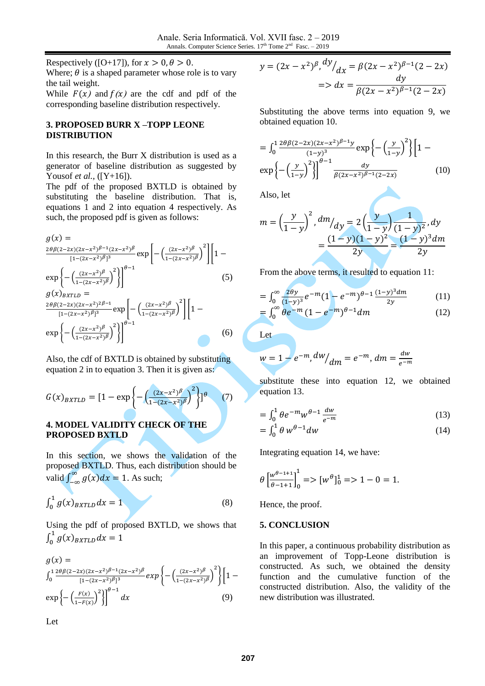Respectively ([O+17]), for  $x > 0, \theta > 0$ . Where;  $\theta$  is a shaped parameter whose role is to vary the tail weight.

While  $F(x)$  and  $f(x)$  are the cdf and pdf of the corresponding baseline distribution respectively.

## **3. PROPOSED BURR X –TOPP LEONE DISTRIBUTION**

In this research, the Burr X distribution is used as a generator of baseline distribution as suggested by Yousof *et al.,* ([Y+16]).

The pdf of the proposed BXTLD is obtained by substituting the baseline distribution. That is, equations 1 and 2 into equation 4 respectively. As such, the proposed pdf is given as follows:

$$
g(x) = \frac{2\theta\beta(2-2x)(2x-x^2)^{\beta-1}(2x-x^2)^{\beta}}{[1-(2x-x^2)^{\beta}]^3} \exp\left[-\left(\frac{(2x-x^2)^{\beta}}{1-(2x-x^2)^{\beta}}\right)^2\right] \left[1-\exp\left\{-\left(\frac{(2x-x^2)^{\beta}}{1-(2x-x^2)^{\beta}}\right)^2\right\}\right]^{\theta-1}
$$
(5)  
\n
$$
g(x)_{BXTLD} = \frac{2\theta\beta(2-2x)(2x-x^2)^{2\beta-1}}{[1-(2x-x^2)^{\beta}]^3} \exp\left[-\left(\frac{(2x-x^2)^{\beta}}{1-(2x-x^2)^{\beta}}\right)^2\right] \left[1-\exp\left\{-\left(\frac{(2x-x^2)^{\beta}}{1-(2x-x^2)^{\beta}}\right)^2\right\}\right]^{\theta-1}
$$
(6)

Also, the cdf of BXTLD is obtained by substituting equation 2 in to equation 3. Then it is given as:

$$
G(x)_{BXTLD} = [1 - \exp\left\{-\left(\frac{(2x - x^2)^\beta}{1 - (2x - x^2)^\beta}\right)^2\right\}]^\theta \tag{7}
$$

### **4. MODEL VALIDITY CHECK OF THE PROPOSED BXTLD**

In this section, we shows the validation of the proposed BXTLD. Thus, each distribution should be valid  $\int_{-\infty}^{\infty} g(x) dx = 1$  $\int_{-\infty}^{\infty} g(x) dx = 1$ . As such;

$$
\int_0^1 g(x)_{BXTLD} dx = 1 \tag{8}
$$

Using the pdf of proposed BXTLD, we shows that  $\int_0^1 g(x)_{BXTLD} dx = 1$ 0

$$
g(x) =
$$
  
\n
$$
\int_0^1 \frac{2\theta \beta (2-2x)(2x-x^2)^{\beta-1} (2x-x^2)^{\beta}}{[1-(2x-x^2)^{\beta}]^3} exp\left\{-\left(\frac{(2x-x^2)^{\beta}}{1-(2x-x^2)^{\beta}}\right)^2\right\} \left[1-\exp\left\{-\left(\frac{F(x)}{1-F(x)}\right)^2\right\}\right]^{\theta-1} dx
$$
\n(9)

$$
y = (2x - x^2)^{\beta}, \frac{dy}{dx} = \beta(2x - x^2)^{\beta - 1}(2 - 2x)
$$
  
= > dx =  $\frac{dy}{\beta(2x - x^2)^{\beta - 1}(2 - 2x)}$ 

Substituting the above terms into equation 9, we obtained equation 10.

$$
= \int_0^1 \frac{2\theta \beta (2-2x)(2x-x^2)^{\beta-1}y}{(1-y)^3} \exp\left\{-\left(\frac{y}{1-y}\right)^2\right\} \left[1-\exp\left\{-\left(\frac{y}{1-y}\right)^2\right\}\right]^{1/2}
$$

$$
\exp\left\{-\left(\frac{y}{1-y}\right)^2\right\}^{\beta-1} \frac{dy}{\beta (2x-x^2)^{\beta-1} (2-2x)} \tag{10}
$$

Also, let

$$
m = \left(\frac{y}{1-y}\right)^2, \, \frac{dm}{dy} = 2\left(\frac{y}{1-y}\right)\frac{1}{(1-y)^2}, \, dy
$$
\n
$$
= \frac{(1-y)(1-y)^2}{2y} = \frac{(1-y)^3}{2y}.
$$

From the above terms, it resulted to equation 11:

$$
= \int_0^\infty \frac{2\theta y}{(1-y)^3} e^{-m} (1 - e^{-m})^{\theta - 1} \frac{(1-y)^3 dm}{2y}
$$
(11)

$$
= \int_0^\infty \theta e^{-m} (1 - e^{-m})^{\theta - 1} dm \tag{12}
$$

Let

$$
w = 1 - e^{-m}, \frac{dw}{dm} = e^{-m}, \, dm = \frac{dw}{e^{-m}}
$$

substitute these into equation 12, we obtained equation 13.

$$
= \int_0^1 \theta e^{-m} w^{\theta - 1} \frac{dw}{e^{-m}} \tag{13}
$$

$$
= \int_0^1 \theta \, w^{\theta - 1} dw \tag{14}
$$

Integrating equation 14, we have:

$$
\theta \left[ \frac{w^{\theta-1+1}}{\theta-1+1} \right]_0^1 = > [w^{\theta}]_0^1 = > 1 - 0 = 1.
$$

Hence, the proof.

#### **5. CONCLUSION**

In this paper, a continuous probability distribution as an improvement of Topp-Leone distribution is constructed. As such, we obtained the density function and the cumulative function of the constructed distribution. Also, the validity of the new distribution was illustrated.

Let